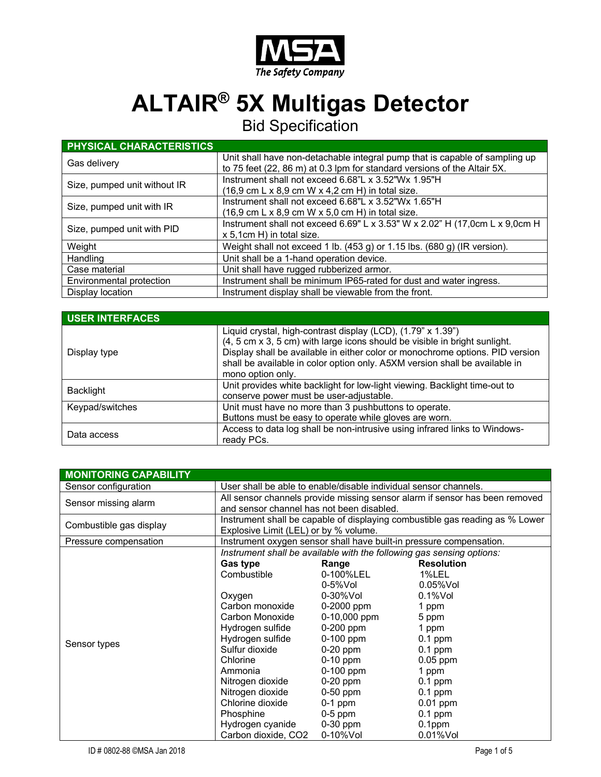

## **ALTAIR® 5X Multigas Detector**

Bid Specification

| <b>PHYSICAL CHARACTERISTICS</b> |                                                                                      |
|---------------------------------|--------------------------------------------------------------------------------------|
| Gas delivery                    | Unit shall have non-detachable integral pump that is capable of sampling up          |
|                                 | to 75 feet (22, 86 m) at 0.3 lpm for standard versions of the Altair 5X.             |
| Size, pumped unit without IR    | Instrument shall not exceed 6.68"L x 3.52"Wx 1.95"H                                  |
|                                 | $(16.9 \text{ cm L} \times 8.9 \text{ cm W} \times 4.2 \text{ cm H})$ in total size. |
| Size, pumped unit with IR       | Instrument shall not exceed 6.68"L x 3.52"Wx 1.65"H                                  |
|                                 | $(16.9 \text{ cm L} \times 8.9 \text{ cm W} \times 5.0 \text{ cm H})$ in total size. |
| Size, pumped unit with PID      | Instrument shall not exceed 6.69" L x 3.53" W x 2.02" H (17,0cm L x 9,0cm H          |
|                                 | x 5,1cm H) in total size.                                                            |
| Weight                          | Weight shall not exceed 1 lb. $(453 g)$ or 1.15 lbs. $(680 g)$ (IR version).         |
| Handling                        | Unit shall be a 1-hand operation device.                                             |
| Case material                   | Unit shall have rugged rubberized armor.                                             |
| Environmental protection        | Instrument shall be minimum IP65-rated for dust and water ingress.                   |
| Display location                | Instrument display shall be viewable from the front.                                 |

| <b>USER INTERFACES</b> |                                                                                                                                                                                                                                                                                                                                 |
|------------------------|---------------------------------------------------------------------------------------------------------------------------------------------------------------------------------------------------------------------------------------------------------------------------------------------------------------------------------|
| Display type           | Liquid crystal, high-contrast display (LCD), (1.79" x 1.39")<br>(4, 5 cm x 3, 5 cm) with large icons should be visible in bright sunlight.<br>Display shall be available in either color or monochrome options. PID version<br>shall be available in color option only. A5XM version shall be available in<br>mono option only. |
| Backlight              | Unit provides white backlight for low-light viewing. Backlight time-out to<br>conserve power must be user-adjustable.                                                                                                                                                                                                           |
| Keypad/switches        | Unit must have no more than 3 pushbuttons to operate.<br>Buttons must be easy to operate while gloves are worn.                                                                                                                                                                                                                 |
| Data access            | Access to data log shall be non-intrusive using infrared links to Windows-<br>ready PCs.                                                                                                                                                                                                                                        |

| <b>MONITORING CAPABILITY</b> |                                                                             |                                                                       |                                                                              |  |
|------------------------------|-----------------------------------------------------------------------------|-----------------------------------------------------------------------|------------------------------------------------------------------------------|--|
| Sensor configuration         | User shall be able to enable/disable individual sensor channels.            |                                                                       |                                                                              |  |
| Sensor missing alarm         | All sensor channels provide missing sensor alarm if sensor has been removed |                                                                       |                                                                              |  |
|                              | and sensor channel has not been disabled.                                   |                                                                       |                                                                              |  |
|                              |                                                                             |                                                                       | Instrument shall be capable of displaying combustible gas reading as % Lower |  |
| Combustible gas display      | Explosive Limit (LEL) or by % volume.                                       |                                                                       |                                                                              |  |
| Pressure compensation        | Instrument oxygen sensor shall have built-in pressure compensation.         |                                                                       |                                                                              |  |
|                              |                                                                             | Instrument shall be available with the following gas sensing options: |                                                                              |  |
|                              | Gas type                                                                    | Range                                                                 | <b>Resolution</b>                                                            |  |
|                              | Combustible                                                                 | 0-100%LEL                                                             | 1%LEL                                                                        |  |
|                              |                                                                             | 0-5%Vol                                                               | $0.05\%$ Vol                                                                 |  |
|                              | Oxygen                                                                      | 0-30%Vol                                                              | $0.1\%$ Vol                                                                  |  |
|                              | Carbon monoxide                                                             | 0-2000 ppm                                                            | 1 ppm                                                                        |  |
|                              | Carbon Monoxide                                                             | 0-10,000 ppm                                                          | 5 ppm                                                                        |  |
|                              | Hydrogen sulfide                                                            | $0-200$ ppm                                                           | 1 ppm                                                                        |  |
| Sensor types                 | Hydrogen sulfide                                                            | $0-100$ ppm                                                           | $0.1$ ppm                                                                    |  |
|                              | Sulfur dioxide                                                              | $0-20$ ppm                                                            | $0.1$ ppm                                                                    |  |
|                              | Chlorine                                                                    | $0-10$ ppm                                                            | $0.05$ ppm                                                                   |  |
|                              | Ammonia                                                                     | $0-100$ ppm                                                           | 1 ppm                                                                        |  |
|                              | Nitrogen dioxide                                                            | $0-20$ ppm                                                            | $0.1$ ppm                                                                    |  |
|                              | Nitrogen dioxide                                                            | $0-50$ ppm                                                            | $0.1$ ppm                                                                    |  |
|                              | Chlorine dioxide                                                            | $0-1$ ppm                                                             | $0.01$ ppm                                                                   |  |
|                              | Phosphine                                                                   | $0-5$ ppm                                                             | $0.1$ ppm                                                                    |  |
|                              | Hydrogen cyanide                                                            | $0-30$ ppm                                                            | $0.1$ ppm                                                                    |  |
|                              | Carbon dioxide, CO2                                                         | 0-10%Vol                                                              | $0.01\%$ Vol                                                                 |  |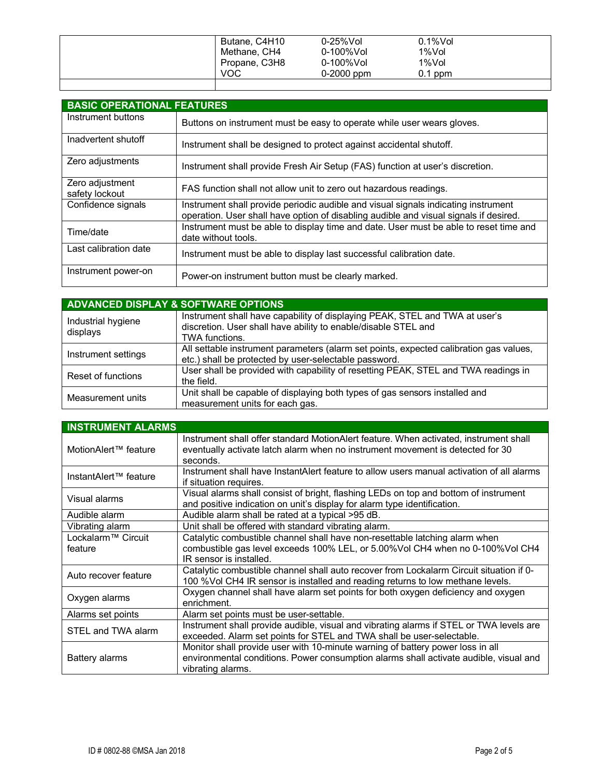| Butane, C4H10 | $0-25%$ Vol | $0.1\%$ Vol |
|---------------|-------------|-------------|
| Methane, CH4  | 0-100%Vol   | 1%Vol       |
| Propane, C3H8 | 0-100%Vol   | 1%Vol       |
| <b>VOC</b>    | 0-2000 ppm  | $0.1$ ppm   |
|               |             |             |

| <b>BASIC OPERATIONAL FEATURES</b> |                                                                                                                                                                             |
|-----------------------------------|-----------------------------------------------------------------------------------------------------------------------------------------------------------------------------|
| Instrument buttons                | Buttons on instrument must be easy to operate while user wears gloves.                                                                                                      |
| Inadvertent shutoff               | Instrument shall be designed to protect against accidental shutoff.                                                                                                         |
| Zero adjustments                  | Instrument shall provide Fresh Air Setup (FAS) function at user's discretion.                                                                                               |
| Zero adjustment<br>safety lockout | FAS function shall not allow unit to zero out hazardous readings.                                                                                                           |
| Confidence signals                | Instrument shall provide periodic audible and visual signals indicating instrument<br>operation. User shall have option of disabling audible and visual signals if desired. |
| Time/date                         | Instrument must be able to display time and date. User must be able to reset time and<br>date without tools.                                                                |
| Last calibration date             | Instrument must be able to display last successful calibration date.                                                                                                        |
| Instrument power-on               | Power-on instrument button must be clearly marked.                                                                                                                          |

| <b>ADVANCED DISPLAY &amp; SOFTWARE OPTIONS</b> |                                                                                                                                                                 |  |
|------------------------------------------------|-----------------------------------------------------------------------------------------------------------------------------------------------------------------|--|
| Industrial hygiene<br>displays                 | Instrument shall have capability of displaying PEAK, STEL and TWA at user's<br>discretion. User shall have ability to enable/disable STEL and<br>TWA functions. |  |
| Instrument settings                            | All settable instrument parameters (alarm set points, expected calibration gas values,<br>etc.) shall be protected by user-selectable password.                 |  |
| Reset of functions                             | User shall be provided with capability of resetting PEAK, STEL and TWA readings in<br>the field.                                                                |  |
| Measurement units                              | Unit shall be capable of displaying both types of gas sensors installed and<br>measurement units for each gas.                                                  |  |

| <b>INSTRUMENT ALARMS</b>                  |                                                                                                                                                                                              |
|-------------------------------------------|----------------------------------------------------------------------------------------------------------------------------------------------------------------------------------------------|
| MotionAlert™ feature                      | Instrument shall offer standard MotionAlert feature. When activated, instrument shall<br>eventually activate latch alarm when no instrument movement is detected for 30<br>seconds.          |
| InstantAlert™ feature                     | Instrument shall have InstantAlert feature to allow users manual activation of all alarms<br>if situation requires.                                                                          |
| Visual alarms                             | Visual alarms shall consist of bright, flashing LEDs on top and bottom of instrument<br>and positive indication on unit's display for alarm type identification.                             |
| Audible alarm                             | Audible alarm shall be rated at a typical >95 dB.                                                                                                                                            |
| Vibrating alarm                           | Unit shall be offered with standard vibrating alarm.                                                                                                                                         |
| Lockalarm <sup>™</sup> Circuit<br>feature | Catalytic combustible channel shall have non-resettable latching alarm when<br>combustible gas level exceeds 100% LEL, or 5.00%Vol CH4 when no 0-100%Vol CH4<br>IR sensor is installed.      |
| Auto recover feature                      | Catalytic combustible channel shall auto recover from Lockalarm Circuit situation if 0-<br>100 %Vol CH4 IR sensor is installed and reading returns to low methane levels.                    |
| Oxygen alarms                             | Oxygen channel shall have alarm set points for both oxygen deficiency and oxygen<br>enrichment.                                                                                              |
| Alarms set points                         | Alarm set points must be user-settable.                                                                                                                                                      |
| STEL and TWA alarm                        | Instrument shall provide audible, visual and vibrating alarms if STEL or TWA levels are<br>exceeded. Alarm set points for STEL and TWA shall be user-selectable.                             |
| Battery alarms                            | Monitor shall provide user with 10-minute warning of battery power loss in all<br>environmental conditions. Power consumption alarms shall activate audible, visual and<br>vibrating alarms. |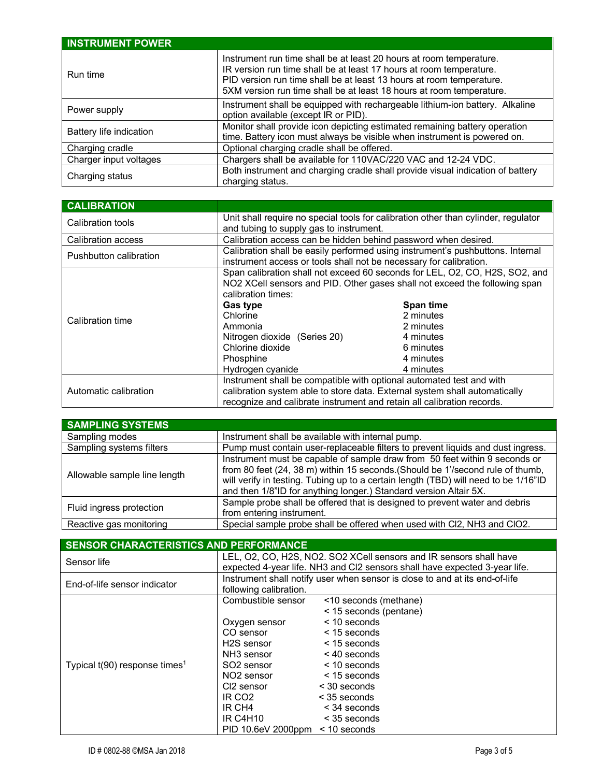| <b>INSTRUMENT POWER</b> |                                                                                                                                                                                                                                                                                            |
|-------------------------|--------------------------------------------------------------------------------------------------------------------------------------------------------------------------------------------------------------------------------------------------------------------------------------------|
| Run time                | Instrument run time shall be at least 20 hours at room temperature.<br>IR version run time shall be at least 17 hours at room temperature.<br>PID version run time shall be at least 13 hours at room temperature.<br>5XM version run time shall be at least 18 hours at room temperature. |
| Power supply            | Instrument shall be equipped with rechargeable lithium-ion battery. Alkaline<br>option available (except IR or PID).                                                                                                                                                                       |
| Battery life indication | Monitor shall provide icon depicting estimated remaining battery operation<br>time. Battery icon must always be visible when instrument is powered on.                                                                                                                                     |
| Charging cradle         | Optional charging cradle shall be offered.                                                                                                                                                                                                                                                 |
| Charger input voltages  | Chargers shall be available for 110VAC/220 VAC and 12-24 VDC.                                                                                                                                                                                                                              |
| Charging status         | Both instrument and charging cradle shall provide visual indication of battery<br>charging status.                                                                                                                                                                                         |

| <b>CALIBRATION</b>     |                                                                                                                                                                                 |                        |  |
|------------------------|---------------------------------------------------------------------------------------------------------------------------------------------------------------------------------|------------------------|--|
| Calibration tools      | Unit shall require no special tools for calibration other than cylinder, regulator<br>and tubing to supply gas to instrument.                                                   |                        |  |
| Calibration access     | Calibration access can be hidden behind password when desired.                                                                                                                  |                        |  |
| Pushbutton calibration | Calibration shall be easily performed using instrument's pushbuttons. Internal<br>instrument access or tools shall not be necessary for calibration.                            |                        |  |
| Calibration time       | Span calibration shall not exceed 60 seconds for LEL, O2, CO, H2S, SO2, and<br>NO2 XCell sensors and PID. Other gases shall not exceed the following span<br>calibration times: |                        |  |
|                        | <b>Gas type</b><br>Chlorine                                                                                                                                                     | Span time<br>2 minutes |  |
|                        | Ammonia                                                                                                                                                                         | 2 minutes              |  |
|                        | Nitrogen dioxide (Series 20)                                                                                                                                                    | 4 minutes              |  |
|                        | Chlorine dioxide                                                                                                                                                                | 6 minutes              |  |
|                        | Phosphine                                                                                                                                                                       | 4 minutes              |  |
|                        | Hydrogen cyanide                                                                                                                                                                | 4 minutes              |  |
|                        | Instrument shall be compatible with optional automated test and with                                                                                                            |                        |  |
| Automatic calibration  | calibration system able to store data. External system shall automatically                                                                                                      |                        |  |
|                        | recognize and calibrate instrument and retain all calibration records.                                                                                                          |                        |  |

| <b>SAMPLING SYSTEMS</b>      |                                                                                                                                                                                                                                                                                                                          |
|------------------------------|--------------------------------------------------------------------------------------------------------------------------------------------------------------------------------------------------------------------------------------------------------------------------------------------------------------------------|
| Sampling modes               | Instrument shall be available with internal pump.                                                                                                                                                                                                                                                                        |
| Sampling systems filters     | Pump must contain user-replaceable filters to prevent liquids and dust ingress.                                                                                                                                                                                                                                          |
| Allowable sample line length | Instrument must be capable of sample draw from 50 feet within 9 seconds or<br>from 80 feet (24, 38 m) within 15 seconds. (Should be 1'/second rule of thumb,<br>will verify in testing. Tubing up to a certain length (TBD) will need to be 1/16"ID<br>and then 1/8"ID for anything longer.) Standard version Altair 5X. |
| Fluid ingress protection     | Sample probe shall be offered that is designed to prevent water and debris<br>from entering instrument.                                                                                                                                                                                                                  |
| Reactive gas monitoring      | Special sample probe shall be offered when used with Cl2, NH3 and ClO2.                                                                                                                                                                                                                                                  |

| <b>SENSOR CHARACTERISTICS AND PERFORMANCE</b> |                                                                                                                                                  |                                                 |  |
|-----------------------------------------------|--------------------------------------------------------------------------------------------------------------------------------------------------|-------------------------------------------------|--|
| Sensor life                                   | LEL, O2, CO, H2S, NO2. SO2 XCell sensors and IR sensors shall have<br>expected 4-year life. NH3 and CI2 sensors shall have expected 3-year life. |                                                 |  |
| End-of-life sensor indicator                  | Instrument shall notify user when sensor is close to and at its end-of-life<br>following calibration.                                            |                                                 |  |
|                                               | Combustible sensor                                                                                                                               | <10 seconds (methane)<br>< 15 seconds (pentane) |  |
|                                               | Oxygen sensor                                                                                                                                    | $<$ 10 seconds                                  |  |
|                                               | CO sensor                                                                                                                                        | $<$ 15 seconds                                  |  |
|                                               | H <sub>2</sub> S sensor                                                                                                                          | $<$ 15 seconds                                  |  |
|                                               | NH <sub>3</sub> sensor                                                                                                                           | $<$ 40 seconds                                  |  |
| Typical $t(90)$ response times <sup>1</sup>   | SO <sub>2</sub> sensor                                                                                                                           | $<$ 10 seconds                                  |  |
|                                               | NO <sub>2</sub> sensor                                                                                                                           | $<$ 15 seconds                                  |  |
|                                               | CI <sub>2</sub> sensor                                                                                                                           | $<$ 30 seconds                                  |  |
|                                               | IR CO <sub>2</sub>                                                                                                                               | $<$ 35 seconds                                  |  |
|                                               | IR CH4                                                                                                                                           | $<$ 34 seconds                                  |  |
|                                               | <b>IR C4H10</b>                                                                                                                                  | < 35 seconds                                    |  |
|                                               | $PID 10.6eV 2000ppm < 10$ seconds                                                                                                                |                                                 |  |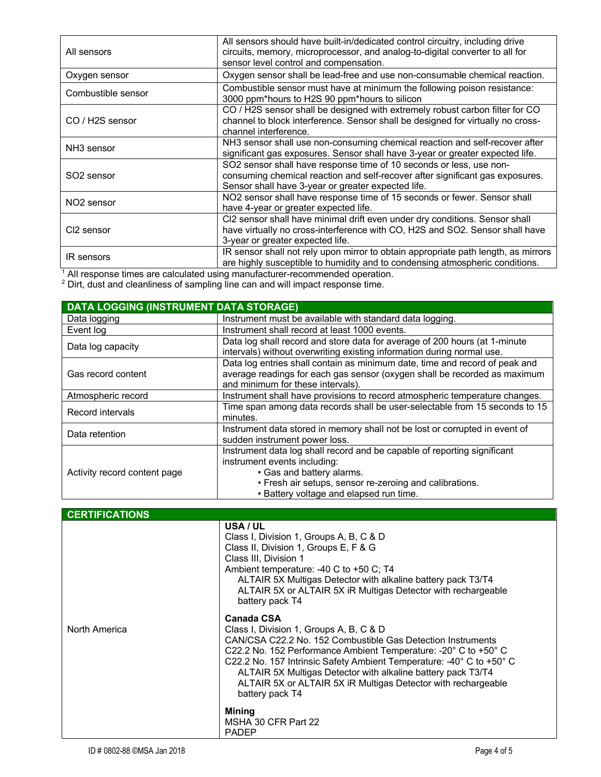| All sensors                                                                                                                                                                            | All sensors should have built-in/dedicated control circuitry, including drive<br>circuits, memory, microprocessor, and analog-to-digital converter to all for<br>sensor level control and compensation.    |  |  |
|----------------------------------------------------------------------------------------------------------------------------------------------------------------------------------------|------------------------------------------------------------------------------------------------------------------------------------------------------------------------------------------------------------|--|--|
| Oxygen sensor                                                                                                                                                                          | Oxygen sensor shall be lead-free and use non-consumable chemical reaction.                                                                                                                                 |  |  |
| Combustible sensor                                                                                                                                                                     | Combustible sensor must have at minimum the following poison resistance:<br>3000 ppm*hours to H2S 90 ppm*hours to silicon                                                                                  |  |  |
| CO / H2S sensor                                                                                                                                                                        | CO / H2S sensor shall be designed with extremely robust carbon filter for CO<br>channel to block interference. Sensor shall be designed for virtually no cross-<br>channel interference.                   |  |  |
| NH3 sensor shall use non-consuming chemical reaction and self-recover after<br>NH <sub>3</sub> sensor<br>significant gas exposures. Sensor shall have 3-year or greater expected life. |                                                                                                                                                                                                            |  |  |
| SO <sub>2</sub> sensor                                                                                                                                                                 | SO2 sensor shall have response time of 10 seconds or less, use non-<br>consuming chemical reaction and self-recover after significant gas exposures.<br>Sensor shall have 3-year or greater expected life. |  |  |
| NO <sub>2</sub> sensor                                                                                                                                                                 | NO2 sensor shall have response time of 15 seconds or fewer. Sensor shall<br>have 4-year or greater expected life.                                                                                          |  |  |
| CI2 sensor                                                                                                                                                                             | CI2 sensor shall have minimal drift even under dry conditions. Sensor shall<br>have virtually no cross-interference with CO, H2S and SO2. Sensor shall have<br>3-year or greater expected life.            |  |  |
| <b>IR</b> sensors<br>$\overline{1}$ and $\overline{1}$<br>$\cdots$<br>.                                                                                                                | IR sensor shall not rely upon mirror to obtain appropriate path length, as mirrors<br>are highly susceptible to humidity and to condensing atmospheric conditions.                                         |  |  |

 $<sup>1</sup>$  All response times are calculated using manufacturer-recommended operation.</sup>  $2$  Dirt, dust and cleanliness of sampling line can and will impact response time.

| <b>DATA LOGGING (INSTRUMENT DATA STORAGE)</b> |                                                                                                                |  |
|-----------------------------------------------|----------------------------------------------------------------------------------------------------------------|--|
| Data logging                                  | Instrument must be available with standard data logging.                                                       |  |
| Event log                                     | Instrument shall record at least 1000 events.                                                                  |  |
| Data log capacity                             | Data log shall record and store data for average of 200 hours (at 1-minute                                     |  |
|                                               | intervals) without overwriting existing information during normal use.                                         |  |
| Gas record content                            | Data log entries shall contain as minimum date, time and record of peak and                                    |  |
|                                               | average readings for each gas sensor (oxygen shall be recorded as maximum<br>and minimum for these intervals). |  |
| Atmospheric record                            | Instrument shall have provisions to record atmospheric temperature changes.                                    |  |
| Record intervals                              | Time span among data records shall be user-selectable from 15 seconds to 15<br>minutes.                        |  |
| Data retention                                | Instrument data stored in memory shall not be lost or corrupted in event of                                    |  |
|                                               | sudden instrument power loss.                                                                                  |  |
| Activity record content page                  | Instrument data log shall record and be capable of reporting significant                                       |  |
|                                               | instrument events including:                                                                                   |  |
|                                               | • Gas and battery alarms.                                                                                      |  |
|                                               | • Fresh air setups, sensor re-zeroing and calibrations.                                                        |  |
|                                               | • Battery voltage and elapsed run time.                                                                        |  |

| <b>CERTIFICATIONS</b> |                                                                                                                                                                                                                                                                                                                                                                                                                            |
|-----------------------|----------------------------------------------------------------------------------------------------------------------------------------------------------------------------------------------------------------------------------------------------------------------------------------------------------------------------------------------------------------------------------------------------------------------------|
|                       | USA / UL<br>Class I, Division 1, Groups A, B, C & D<br>Class II, Division 1, Groups E, F & G<br>Class III, Division 1<br>Ambient temperature: -40 C to +50 C; T4<br>ALTAIR 5X Multigas Detector with alkaline battery pack T3/T4<br>ALTAIR 5X or ALTAIR 5X iR Multigas Detector with rechargeable<br>battery pack T4                                                                                                       |
| North America         | <b>Canada CSA</b><br>Class I, Division 1, Groups A, B, C & D<br>CAN/CSA C22.2 No. 152 Combustible Gas Detection Instruments<br>C22.2 No. 152 Performance Ambient Temperature: -20° C to +50° C<br>C22.2 No. 157 Intrinsic Safety Ambient Temperature: -40° C to +50° C<br>ALTAIR 5X Multigas Detector with alkaline battery pack T3/T4<br>ALTAIR 5X or ALTAIR 5X iR Multigas Detector with rechargeable<br>battery pack T4 |
|                       | Mining<br>MSHA 30 CFR Part 22<br><b>PADEP</b>                                                                                                                                                                                                                                                                                                                                                                              |